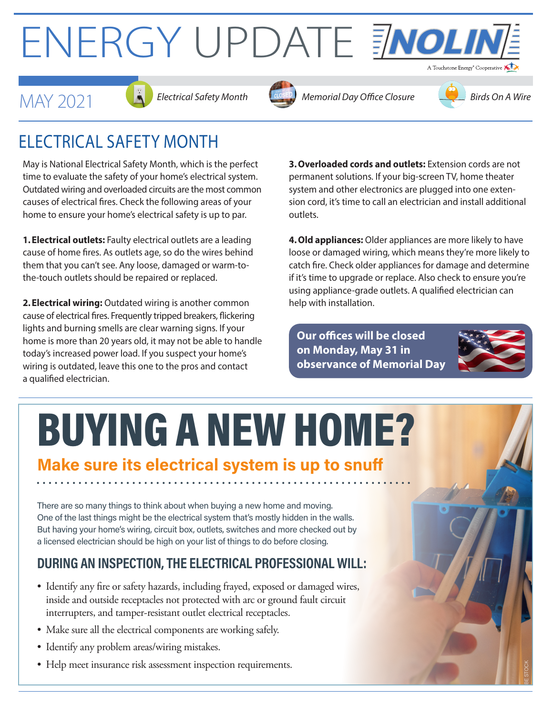# ENERGY UPDATE ENOLIN









### ELECTRICAL SAFETY MONTH

May is National Electrical Safety Month, which is the perfect time to evaluate the safety of your home's electrical system. Outdated wiring and overloaded circuits are the most common causes of electrical fires. Check the following areas of your home to ensure your home's electrical safety is up to par.

**1.Electrical outlets:** Faulty electrical outlets are a leading cause of home fires. As outlets age, so do the wires behind them that you can't see. Any loose, damaged or warm-tothe-touch outlets should be repaired or replaced.

**2.Electrical wiring:** Outdated wiring is another common cause of electrical fires. Frequently tripped breakers, flickering lights and burning smells are clear warning signs. If your home is more than 20 years old, it may not be able to handle today's increased power load. If you suspect your home's wiring is outdated, leave this one to the pros and contact a qualified electrician.

**3.Overloaded cords and outlets:** Extension cords are not permanent solutions. If your big-screen TV, home theater system and other electronics are plugged into one extension cord, it's time to call an electrician and install additional outlets.

**4.Old appliances:** Older appliances are more likely to have loose or damaged wiring, which means they're more likely to catch fire. Check older appliances for damage and determine if it's time to upgrade or replace. Also check to ensure you're using appliance-grade outlets. A qualified electrician can help with installation.

**Our offices will be closed on Monday, May 31 in observance of Memorial Day** 



I BE STOCK

## BUYING A NEW HOME?

#### **Make sure its electrical system is up to snuff**

There are so many things to think about when buying a new home and moving. One of the last things might be the electrical system that's mostly hidden in the walls. But having your home's wiring, circuit box, outlets, switches and more checked out by a licensed electrician should be high on your list of things to do before closing.

#### **DURING AN INSPECTION, THE ELECTRICAL PROFESSIONAL WILL:**

- Identify any fire or safety hazards, including frayed, exposed or damaged wires, inside and outside receptacles not protected with arc or ground fault circuit interrupters, and tamper-resistant outlet electrical receptacles.
- Make sure all the electrical components are working safely.
- Identify any problem areas/wiring mistakes.
- Help meet insurance risk assessment inspection requirements.